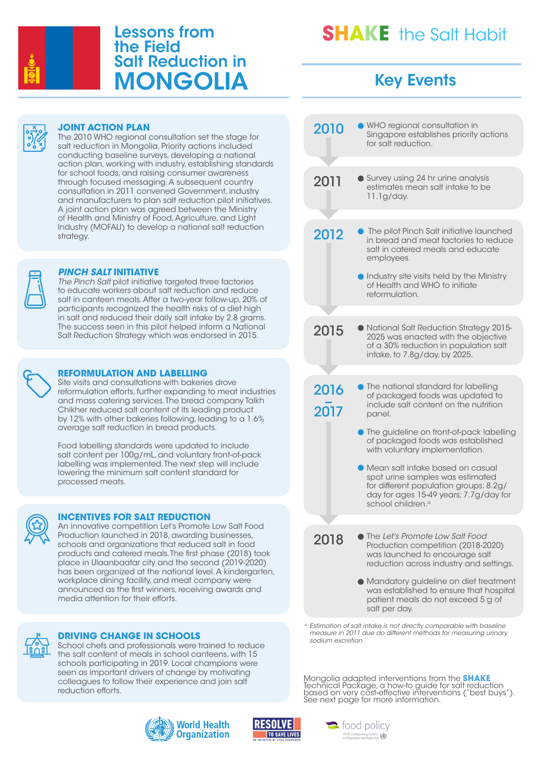

## Lessons from the Field Salt Reduction in MONGOLIA

# **SHAKE** the Salt Habit

## Key Events

WHO regional consultation in

for salt reduction.

Singapore establishes priority actions

2010



#### **JOINT ACTION PLAN**

The 2010 WHO regional consultation set the stage for salt reduction in Mongolia. Priority actions included conducting baseline surveys, developing a national action plan, working with industry, establishing standards for school foods, and raising consumer awareness through focused messaging. A subsequent country consultation in 2011 convened Government, industry and manufacturers to plan salt reduction pilot initiatives. A joint action plan was agreed between the Ministry of Health and Ministry of Food, Agriculture, and Light Industry (MOFALI) to develop a national salt reduction strategy.



#### *PINCH SALT* **INITIATIVE**

*The Pinch Salt* pilot initiative targeted three factories to educate workers about salt reduction and reduce salt in canteen meals. After a two-year follow-up, 20% of participants recognized the health risks of a diet high in salt and reduced their daily salt intake by 2.8 grams. The success seen in this pilot helped inform a National Salt Reduction Strategy which was endorsed in 2015.



#### **REFORMULATION AND LABELLING**

Site visits and consultations with bakeries drove reformulation efforts, further expanding to meat industries and mass catering services. The bread company Talkh Chikher reduced salt content of its leading product by 12% with other bakeries following, leading to a 1.6% average salt reduction in bread products.

Food labelling standards were updated to include salt content per 100g/mL, and voluntary front-of-pack labelling was implemented. The next step will include lowering the minimum salt content standard for processed meats.



#### **INCENTIVES FOR SALT REDUCTION**

An innovative competition Let's Promote Low Salt Food Production launched in 2018, awarding businesses, schools and organizations that reduced salt in food products and catered meals. The first phase (2018) took place in Ulaanbaatar city and the second (2019-2020) has been organized at the national level. A kindergarten, workplace dining facility, and meat company were announced as the first winners, receiving awards and media attention for their efforts.



#### **DRIVING CHANGE IN SCHOOLS**

School chefs and professionals were trained to reduce the salt content of meals in school canteens, with 15 schools participating in 2019. Local champions were seen as important drivers of change by motivating colleagues to follow their experience and join salt reduction efforts.





#### 2012 <sup>2016</sup> <sup>−</sup> 2017 2011 2015 **• The pilot Pinch Salt initiative launched** in bread and meat factories to reduce salt in catered meals and educate employees. **Industry site visits held by the Ministry** of Health and WHO to initiate reformulation. **• The national standard for labelling** of packaged foods was updated to include salt content on the nutrition Survey using 24 hr urine analysis estimates mean salt intake to be 11.1g/day. National Salt Reduction Strategy 2015- 2025 was enacted with the objective of a 30% reduction in population salt intake, to 7.8g/day, by 2025.

**• The guideline on front-of-pack labelling** of packaged foods was established with voluntary implementation.

panel.

Mean salt intake based on casual spot urine samples was estimated for different population groups: 8.2g/ day for ages 15-49 years; 7.7g/day for school children.<sup>a</sup>

The *Let's Promote Low Salt Food* Production competition (2018-2020) was launched to encourage salt reduction across industry and settings.

Mandatory guideline on diet treatment was established to ensure that hospital patient meals do not exceed 5 g of salt per day.

*<sup>a</sup> Estimation of salt intake is not directly comparable with baseline measure in 2011 due do different methods for measuring urinary sodium excretion.* 

Mongolia adapted interventions from the **SHAKE** Technical Package, a how-to guide for salt reduction based on very cost-effective interventions ("best buys"). See next page for more information.



2018